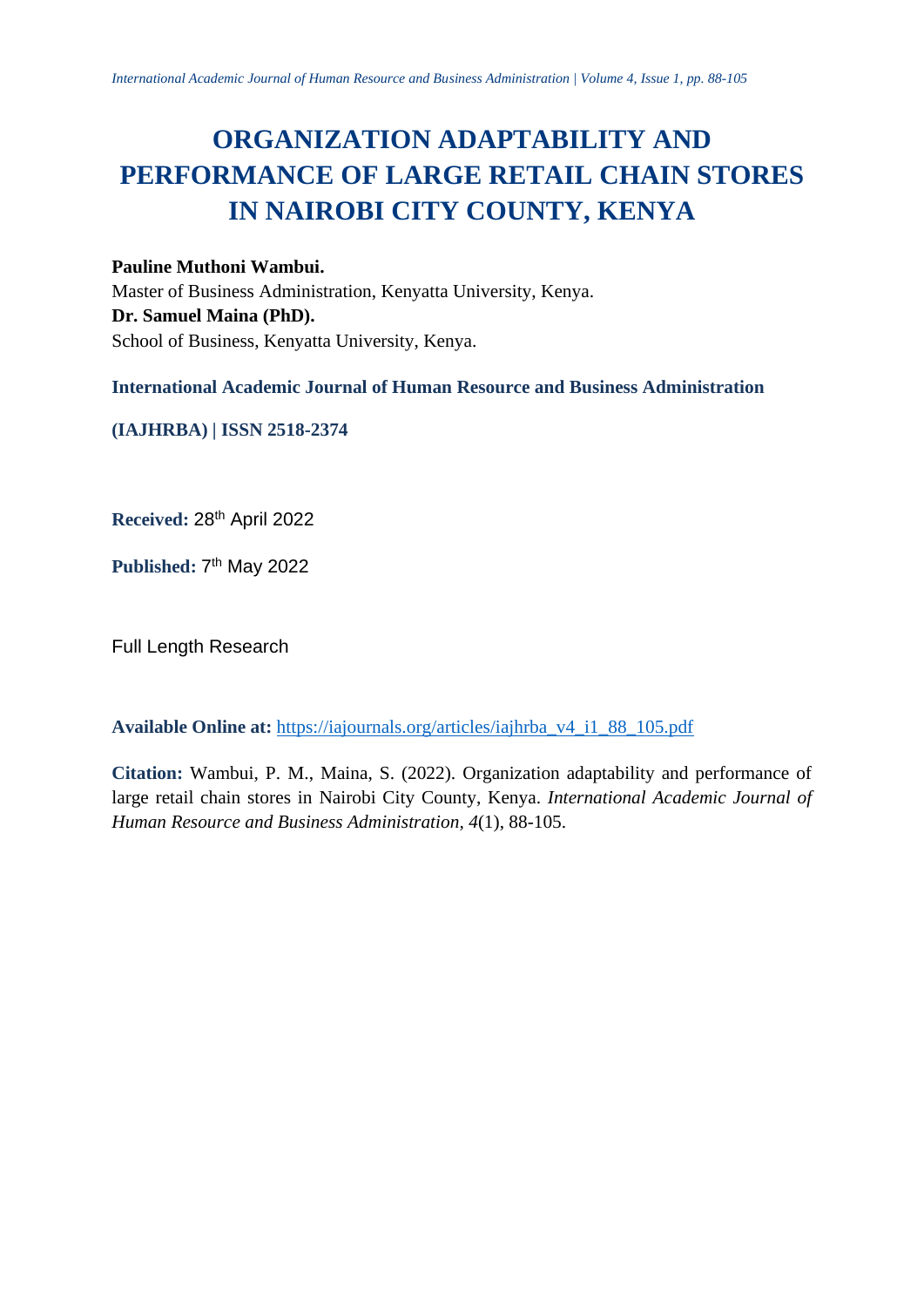# **ORGANIZATION ADAPTABILITY AND PERFORMANCE OF LARGE RETAIL CHAIN STORES IN NAIROBI CITY COUNTY, KENYA**

# **Pauline Muthoni Wambui.**

Master of Business Administration, Kenyatta University, Kenya. **Dr. Samuel Maina (PhD).** School of Business, Kenyatta University, Kenya.

**International Academic Journal of Human Resource and Business Administration**

**(IAJHRBA) | ISSN 2518-2374**

**Received:** 28 th April 2022

Published: 7<sup>th</sup> May 2022

Full Length Research

**Available Online at:** [https://iajournals.org/articles/iajhrba\\_v4\\_i1\\_88\\_105.pdf](https://iajournals.org/articles/iajhrba_v4_i1_88_105.pdf)

**Citation:** Wambui, P. M., Maina, S. (2022). Organization adaptability and performance of large retail chain stores in Nairobi City County, Kenya. *International Academic Journal of Human Resource and Business Administration, 4*(1), 88-105.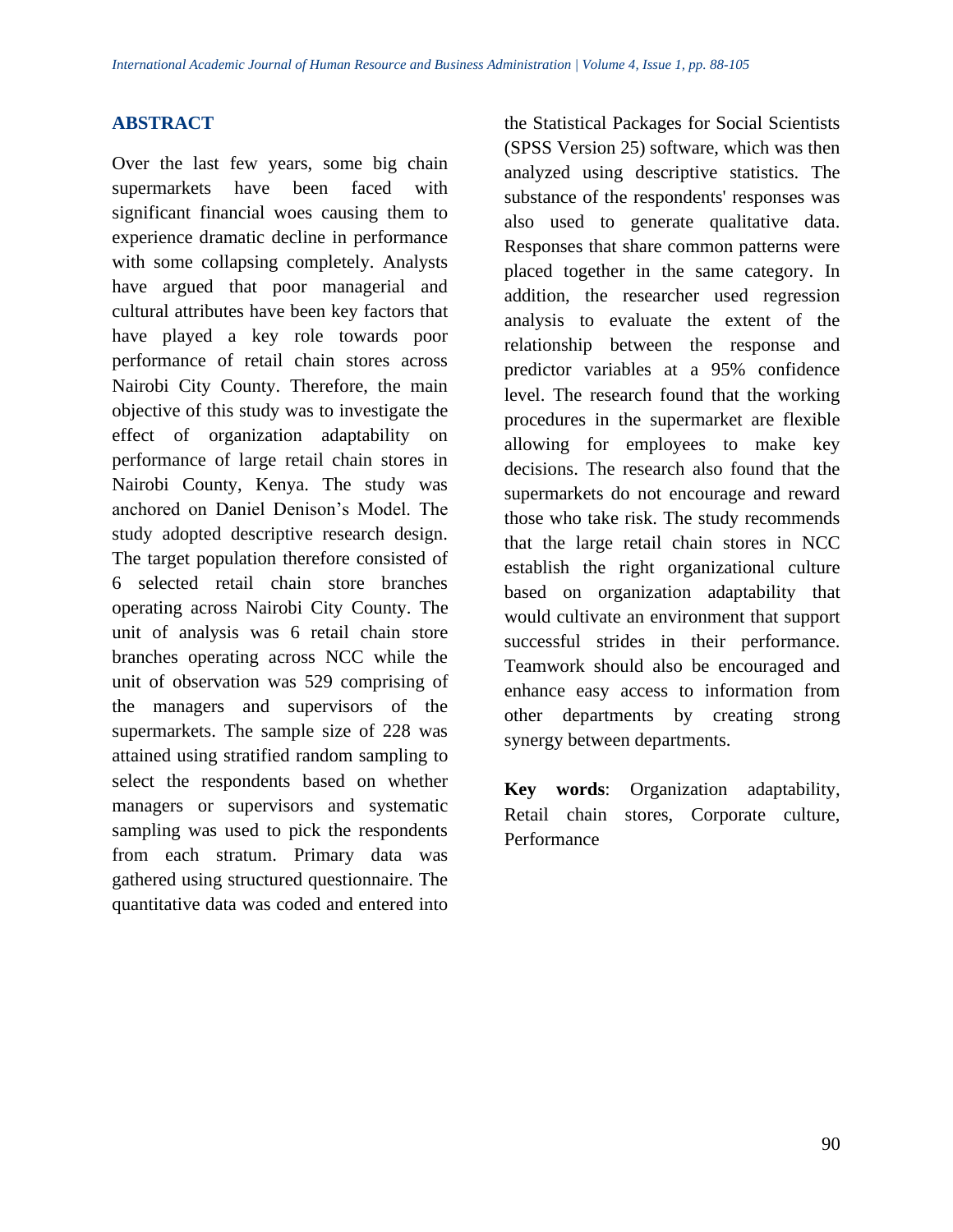## **ABSTRACT**

Over the last few years, some big chain supermarkets have been faced with significant financial woes causing them to experience dramatic decline in performance with some collapsing completely. Analysts have argued that poor managerial and cultural attributes have been key factors that have played a key role towards poor performance of retail chain stores across Nairobi City County. Therefore, the main objective of this study was to investigate the effect of organization adaptability on performance of large retail chain stores in Nairobi County, Kenya. The study was anchored on Daniel Denison's Model. The study adopted descriptive research design. The target population therefore consisted of 6 selected retail chain store branches operating across Nairobi City County. The unit of analysis was 6 retail chain store branches operating across NCC while the unit of observation was 529 comprising of the managers and supervisors of the supermarkets. The sample size of 228 was attained using stratified random sampling to select the respondents based on whether managers or supervisors and systematic sampling was used to pick the respondents from each stratum. Primary data was gathered using structured questionnaire. The quantitative data was coded and entered into

the Statistical Packages for Social Scientists (SPSS Version 25) software, which was then analyzed using descriptive statistics. The substance of the respondents' responses was also used to generate qualitative data. Responses that share common patterns were placed together in the same category. In addition, the researcher used regression analysis to evaluate the extent of the relationship between the response and predictor variables at a 95% confidence level. The research found that the working procedures in the supermarket are flexible allowing for employees to make key decisions. The research also found that the supermarkets do not encourage and reward those who take risk. The study recommends that the large retail chain stores in NCC establish the right organizational culture based on organization adaptability that would cultivate an environment that support successful strides in their performance. Teamwork should also be encouraged and enhance easy access to information from other departments by creating strong synergy between departments.

**Key words**: Organization adaptability, Retail chain stores, Corporate culture, **Performance**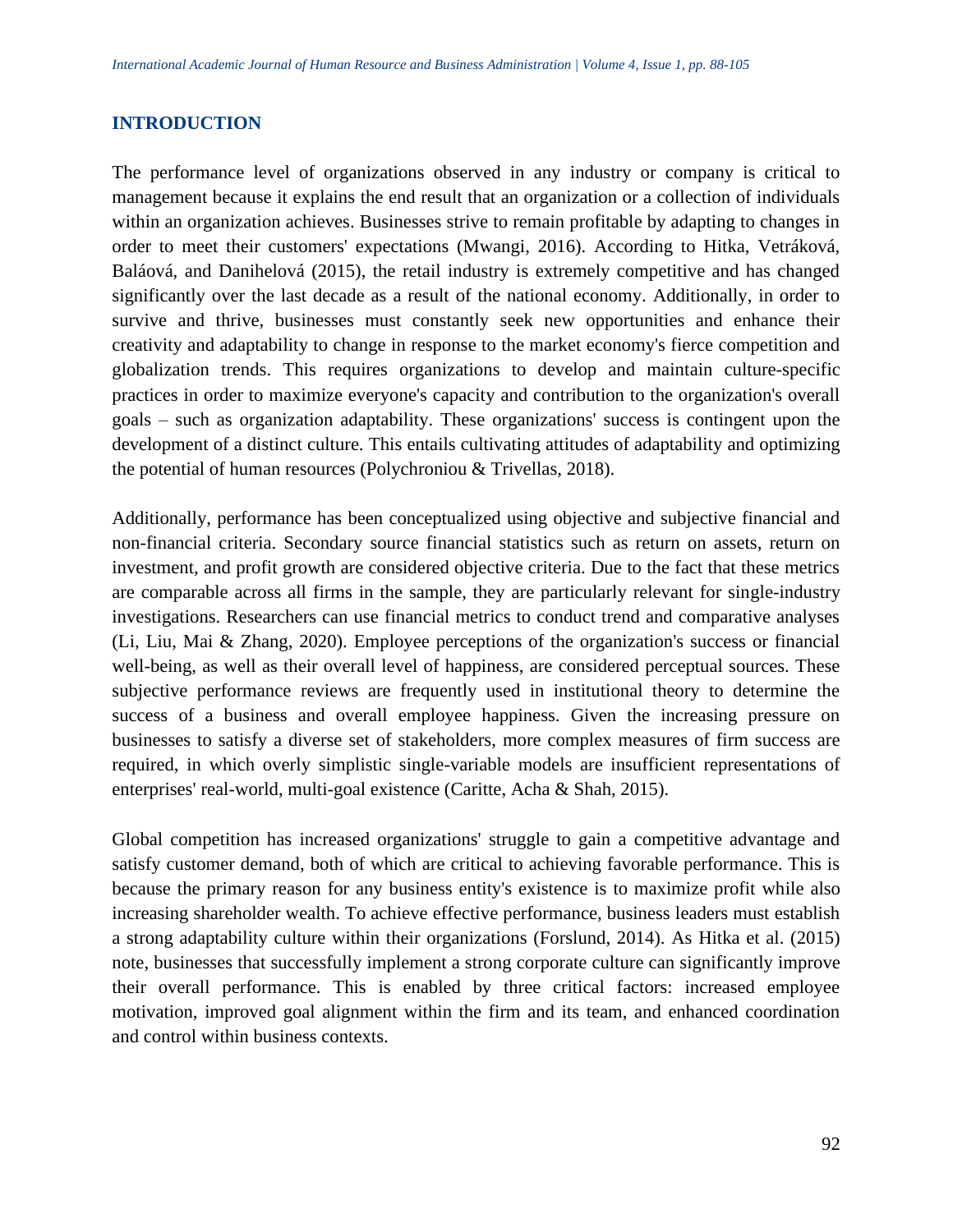## **INTRODUCTION**

The performance level of organizations observed in any industry or company is critical to management because it explains the end result that an organization or a collection of individuals within an organization achieves. Businesses strive to remain profitable by adapting to changes in order to meet their customers' expectations (Mwangi, 2016). According to Hitka, Vetráková, Baláová, and Danihelová (2015), the retail industry is extremely competitive and has changed significantly over the last decade as a result of the national economy. Additionally, in order to survive and thrive, businesses must constantly seek new opportunities and enhance their creativity and adaptability to change in response to the market economy's fierce competition and globalization trends. This requires organizations to develop and maintain culture-specific practices in order to maximize everyone's capacity and contribution to the organization's overall goals – such as organization adaptability. These organizations' success is contingent upon the development of a distinct culture. This entails cultivating attitudes of adaptability and optimizing the potential of human resources (Polychroniou & Trivellas, 2018).

Additionally, performance has been conceptualized using objective and subjective financial and non-financial criteria. Secondary source financial statistics such as return on assets, return on investment, and profit growth are considered objective criteria. Due to the fact that these metrics are comparable across all firms in the sample, they are particularly relevant for single-industry investigations. Researchers can use financial metrics to conduct trend and comparative analyses (Li, Liu, Mai & Zhang, 2020). Employee perceptions of the organization's success or financial well-being, as well as their overall level of happiness, are considered perceptual sources. These subjective performance reviews are frequently used in institutional theory to determine the success of a business and overall employee happiness. Given the increasing pressure on businesses to satisfy a diverse set of stakeholders, more complex measures of firm success are required, in which overly simplistic single-variable models are insufficient representations of enterprises' real-world, multi-goal existence (Caritte, Acha & Shah, 2015).

Global competition has increased organizations' struggle to gain a competitive advantage and satisfy customer demand, both of which are critical to achieving favorable performance. This is because the primary reason for any business entity's existence is to maximize profit while also increasing shareholder wealth. To achieve effective performance, business leaders must establish a strong adaptability culture within their organizations (Forslund, 2014). As Hitka et al. (2015) note, businesses that successfully implement a strong corporate culture can significantly improve their overall performance. This is enabled by three critical factors: increased employee motivation, improved goal alignment within the firm and its team, and enhanced coordination and control within business contexts.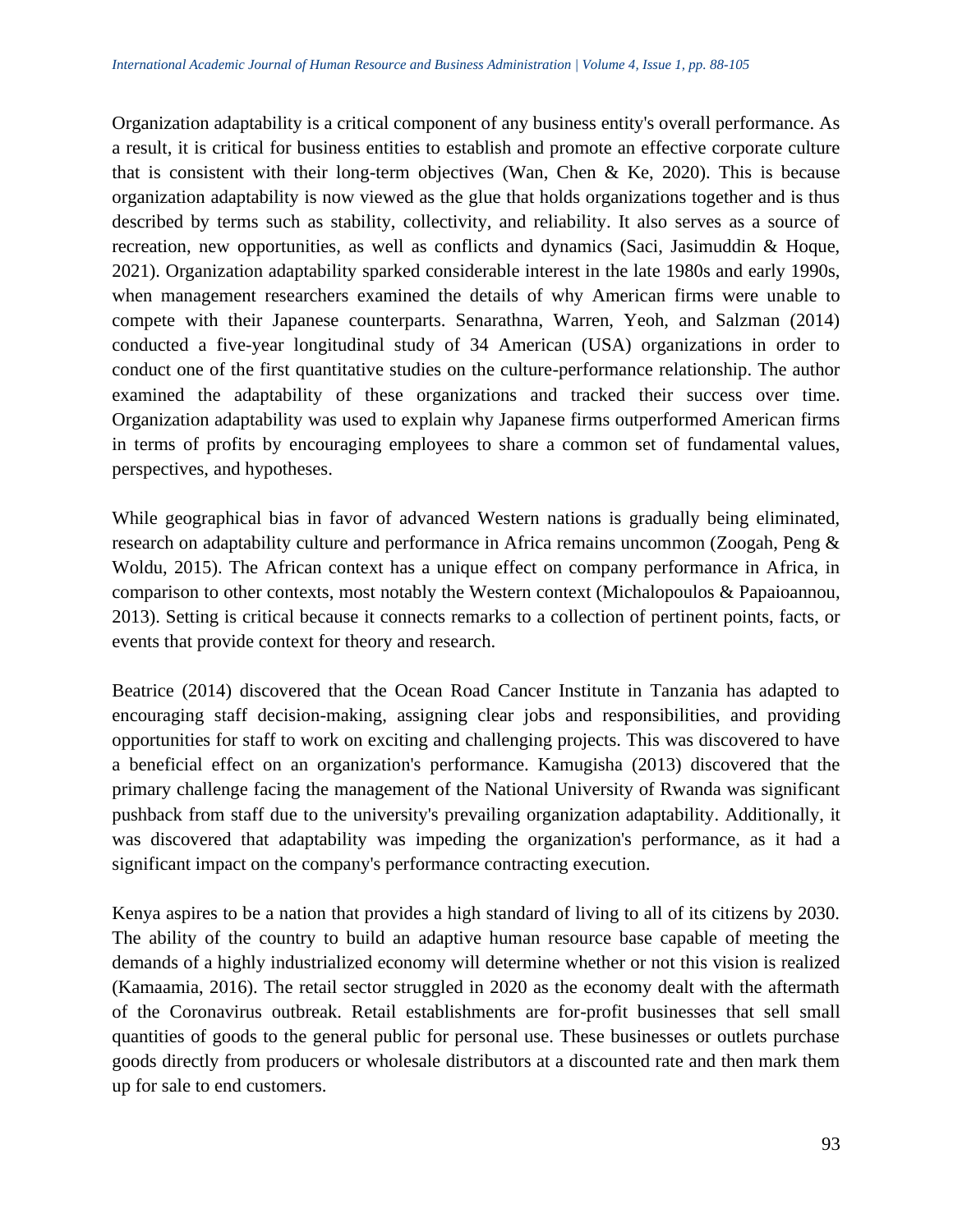Organization adaptability is a critical component of any business entity's overall performance. As a result, it is critical for business entities to establish and promote an effective corporate culture that is consistent with their long-term objectives (Wan, Chen & Ke, 2020). This is because organization adaptability is now viewed as the glue that holds organizations together and is thus described by terms such as stability, collectivity, and reliability. It also serves as a source of recreation, new opportunities, as well as conflicts and dynamics (Saci, Jasimuddin & Hoque, 2021). Organization adaptability sparked considerable interest in the late 1980s and early 1990s, when management researchers examined the details of why American firms were unable to compete with their Japanese counterparts. Senarathna, Warren, Yeoh, and Salzman (2014) conducted a five-year longitudinal study of 34 American (USA) organizations in order to conduct one of the first quantitative studies on the culture-performance relationship. The author examined the adaptability of these organizations and tracked their success over time. Organization adaptability was used to explain why Japanese firms outperformed American firms in terms of profits by encouraging employees to share a common set of fundamental values, perspectives, and hypotheses.

While geographical bias in favor of advanced Western nations is gradually being eliminated, research on adaptability culture and performance in Africa remains uncommon (Zoogah, Peng & Woldu, 2015). The African context has a unique effect on company performance in Africa, in comparison to other contexts, most notably the Western context (Michalopoulos & Papaioannou, 2013). Setting is critical because it connects remarks to a collection of pertinent points, facts, or events that provide context for theory and research.

Beatrice (2014) discovered that the Ocean Road Cancer Institute in Tanzania has adapted to encouraging staff decision-making, assigning clear jobs and responsibilities, and providing opportunities for staff to work on exciting and challenging projects. This was discovered to have a beneficial effect on an organization's performance. Kamugisha (2013) discovered that the primary challenge facing the management of the National University of Rwanda was significant pushback from staff due to the university's prevailing organization adaptability. Additionally, it was discovered that adaptability was impeding the organization's performance, as it had a significant impact on the company's performance contracting execution.

Kenya aspires to be a nation that provides a high standard of living to all of its citizens by 2030. The ability of the country to build an adaptive human resource base capable of meeting the demands of a highly industrialized economy will determine whether or not this vision is realized (Kamaamia, 2016). The retail sector struggled in 2020 as the economy dealt with the aftermath of the Coronavirus outbreak. Retail establishments are for-profit businesses that sell small quantities of goods to the general public for personal use. These businesses or outlets purchase goods directly from producers or wholesale distributors at a discounted rate and then mark them up for sale to end customers.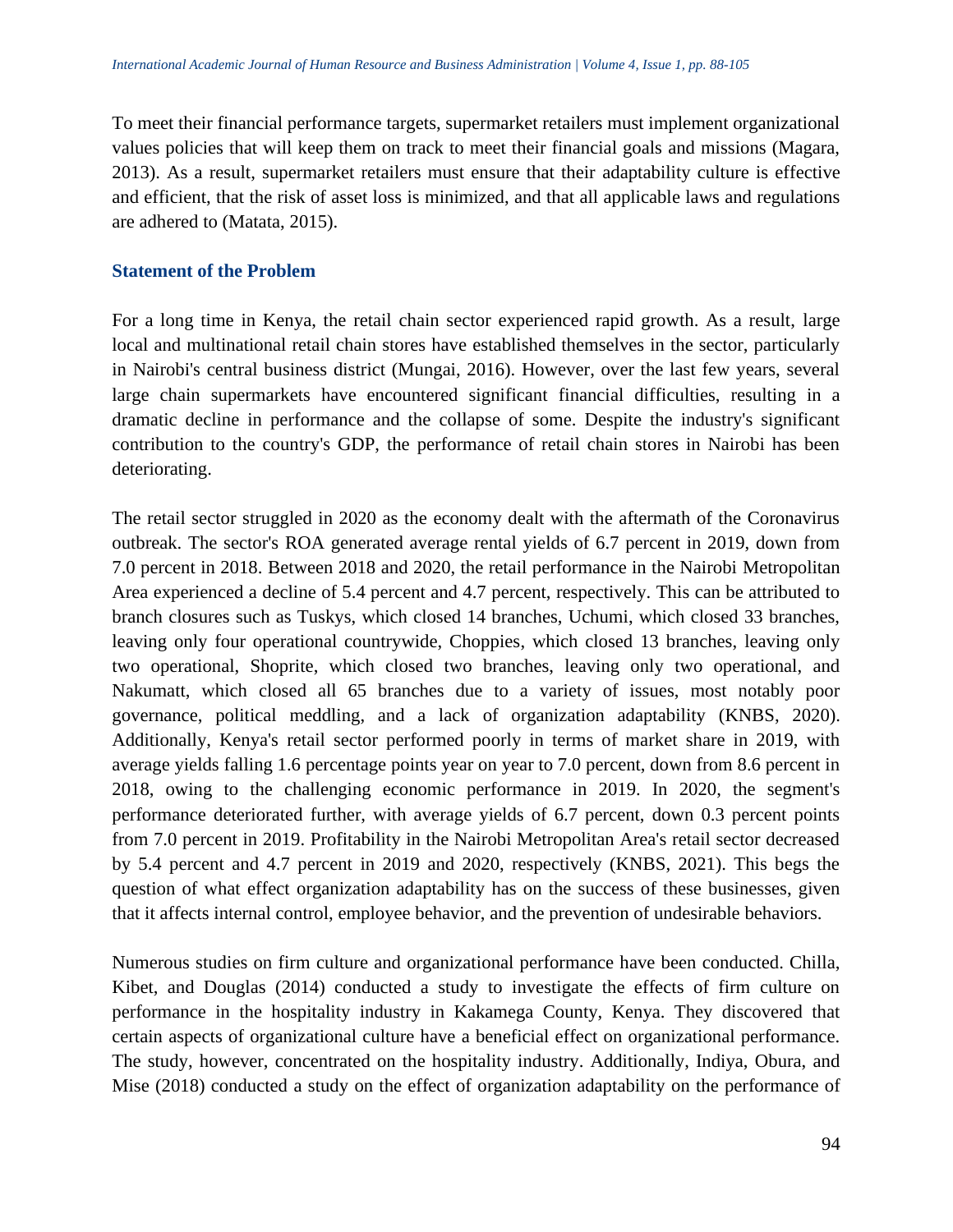To meet their financial performance targets, supermarket retailers must implement organizational values policies that will keep them on track to meet their financial goals and missions (Magara, 2013). As a result, supermarket retailers must ensure that their adaptability culture is effective and efficient, that the risk of asset loss is minimized, and that all applicable laws and regulations are adhered to (Matata, 2015).

## **Statement of the Problem**

For a long time in Kenya, the retail chain sector experienced rapid growth. As a result, large local and multinational retail chain stores have established themselves in the sector, particularly in Nairobi's central business district (Mungai, 2016). However, over the last few years, several large chain supermarkets have encountered significant financial difficulties, resulting in a dramatic decline in performance and the collapse of some. Despite the industry's significant contribution to the country's GDP, the performance of retail chain stores in Nairobi has been deteriorating.

The retail sector struggled in 2020 as the economy dealt with the aftermath of the Coronavirus outbreak. The sector's ROA generated average rental yields of 6.7 percent in 2019, down from 7.0 percent in 2018. Between 2018 and 2020, the retail performance in the Nairobi Metropolitan Area experienced a decline of 5.4 percent and 4.7 percent, respectively. This can be attributed to branch closures such as Tuskys, which closed 14 branches, Uchumi, which closed 33 branches, leaving only four operational countrywide, Choppies, which closed 13 branches, leaving only two operational, Shoprite, which closed two branches, leaving only two operational, and Nakumatt, which closed all 65 branches due to a variety of issues, most notably poor governance, political meddling, and a lack of organization adaptability (KNBS, 2020). Additionally, Kenya's retail sector performed poorly in terms of market share in 2019, with average yields falling 1.6 percentage points year on year to 7.0 percent, down from 8.6 percent in 2018, owing to the challenging economic performance in 2019. In 2020, the segment's performance deteriorated further, with average yields of 6.7 percent, down 0.3 percent points from 7.0 percent in 2019. Profitability in the Nairobi Metropolitan Area's retail sector decreased by 5.4 percent and 4.7 percent in 2019 and 2020, respectively (KNBS, 2021). This begs the question of what effect organization adaptability has on the success of these businesses, given that it affects internal control, employee behavior, and the prevention of undesirable behaviors.

Numerous studies on firm culture and organizational performance have been conducted. Chilla, Kibet, and Douglas (2014) conducted a study to investigate the effects of firm culture on performance in the hospitality industry in Kakamega County, Kenya. They discovered that certain aspects of organizational culture have a beneficial effect on organizational performance. The study, however, concentrated on the hospitality industry. Additionally, Indiya, Obura, and Mise (2018) conducted a study on the effect of organization adaptability on the performance of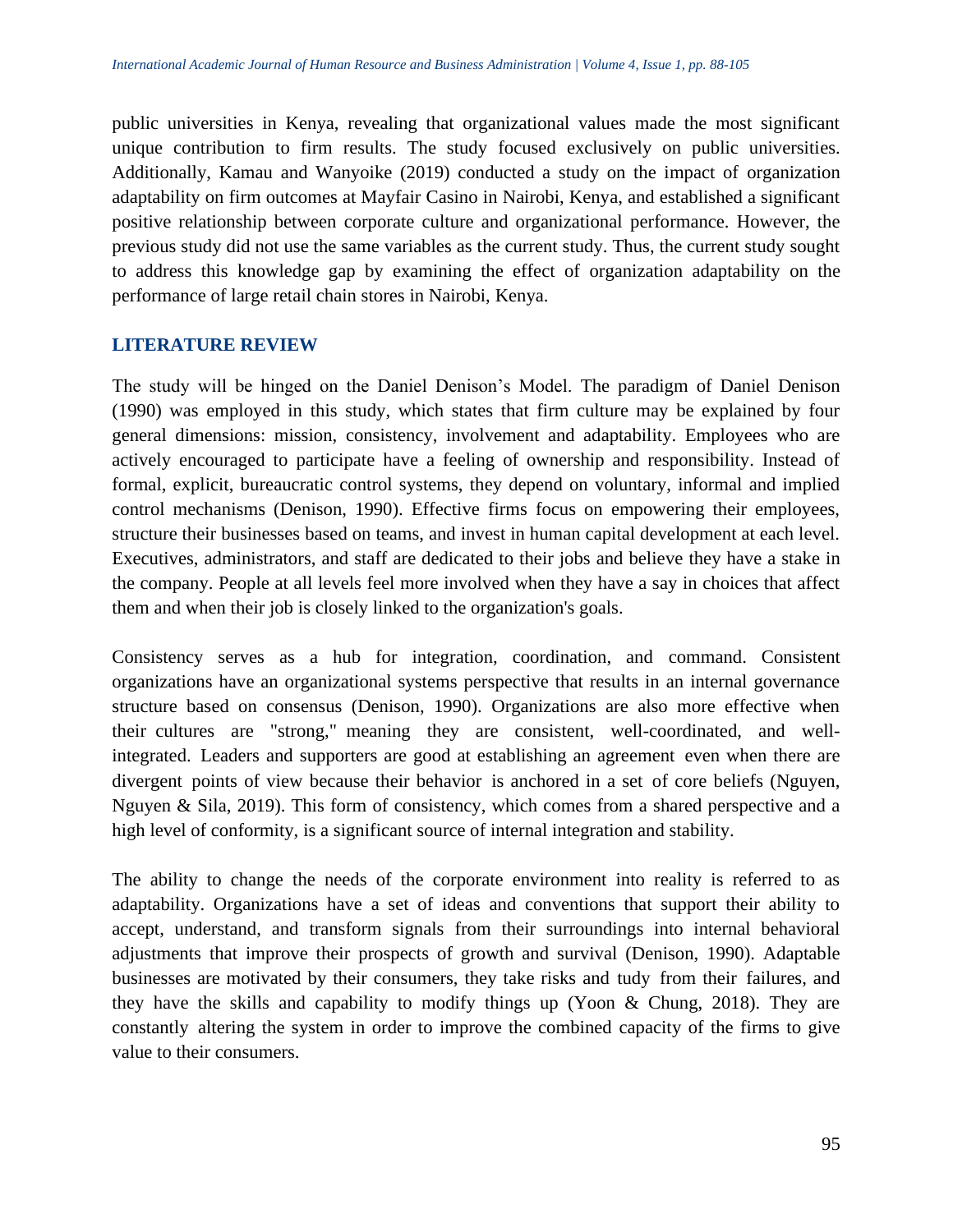public universities in Kenya, revealing that organizational values made the most significant unique contribution to firm results. The study focused exclusively on public universities. Additionally, Kamau and Wanyoike (2019) conducted a study on the impact of organization adaptability on firm outcomes at Mayfair Casino in Nairobi, Kenya, and established a significant positive relationship between corporate culture and organizational performance. However, the previous study did not use the same variables as the current study. Thus, the current study sought to address this knowledge gap by examining the effect of organization adaptability on the performance of large retail chain stores in Nairobi, Kenya.

## **LITERATURE REVIEW**

The study will be hinged on the Daniel Denison's Model. The paradigm of Daniel Denison (1990) was employed in this study, which states that firm culture may be explained by four general dimensions: mission, consistency, involvement and adaptability. Employees who are actively encouraged to participate have a feeling of ownership and responsibility. Instead of formal, explicit, bureaucratic control systems, they depend on voluntary, informal and implied control mechanisms (Denison, 1990). Effective firms focus on empowering their employees, structure their businesses based on teams, and invest in human capital development at each level. Executives, administrators, and staff are dedicated to their jobs and believe they have a stake in the company. People at all levels feel more involved when they have a say in choices that affect them and when their job is closely linked to the organization's goals.

Consistency serves as a hub for integration, coordination, and command. Consistent organizations have an organizational systems perspective that results in an internal governance structure based on consensus (Denison, 1990). Organizations are also more effective when their cultures are "strong," meaning they are consistent, well-coordinated, and wellintegrated. Leaders and supporters are good at establishing an agreement even when there are divergent points of view because their behavior is anchored in a set of core beliefs (Nguyen, Nguyen & Sila, 2019). This form of consistency, which comes from a shared perspective and a high level of conformity, is a significant source of internal integration and stability.

The ability to change the needs of the corporate environment into reality is referred to as adaptability. Organizations have a set of ideas and conventions that support their ability to accept, understand, and transform signals from their surroundings into internal behavioral adjustments that improve their prospects of growth and survival (Denison, 1990). Adaptable businesses are motivated by their consumers, they take risks and tudy from their failures, and they have the skills and capability to modify things up (Yoon & Chung, 2018). They are constantly altering the system in order to improve the combined capacity of the firms to give value to their consumers.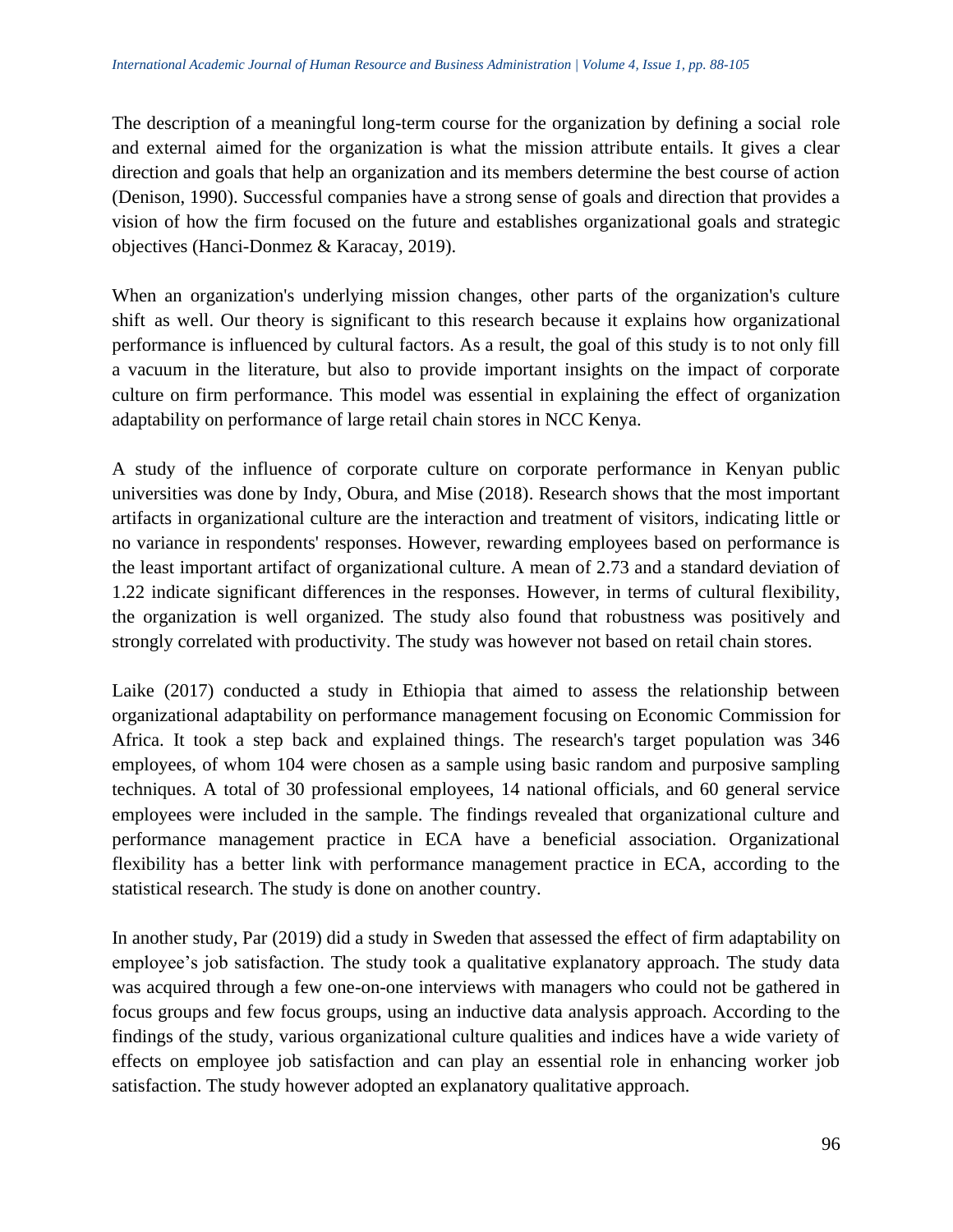The description of a meaningful long-term course for the organization by defining a social role and external aimed for the organization is what the mission attribute entails. It gives a clear direction and goals that help an organization and its members determine the best course of action (Denison, 1990). Successful companies have a strong sense of goals and direction that provides a vision of how the firm focused on the future and establishes organizational goals and strategic objectives (Hanci-Donmez & Karacay, 2019).

When an organization's underlying mission changes, other parts of the organization's culture shift as well. Our theory is significant to this research because it explains how organizational performance is influenced by cultural factors. As a result, the goal of this study is to not only fill a vacuum in the literature, but also to provide important insights on the impact of corporate culture on firm performance. This model was essential in explaining the effect of organization adaptability on performance of large retail chain stores in NCC Kenya.

A study of the influence of corporate culture on corporate performance in Kenyan public universities was done by Indy, Obura, and Mise (2018). Research shows that the most important artifacts in organizational culture are the interaction and treatment of visitors, indicating little or no variance in respondents' responses. However, rewarding employees based on performance is the least important artifact of organizational culture. A mean of 2.73 and a standard deviation of 1.22 indicate significant differences in the responses. However, in terms of cultural flexibility, the organization is well organized. The study also found that robustness was positively and strongly correlated with productivity. The study was however not based on retail chain stores.

Laike (2017) conducted a study in Ethiopia that aimed to assess the relationship between organizational adaptability on performance management focusing on Economic Commission for Africa. It took a step back and explained things. The research's target population was 346 employees, of whom 104 were chosen as a sample using basic random and purposive sampling techniques. A total of 30 professional employees, 14 national officials, and 60 general service employees were included in the sample. The findings revealed that organizational culture and performance management practice in ECA have a beneficial association. Organizational flexibility has a better link with performance management practice in ECA, according to the statistical research. The study is done on another country.

In another study, Par (2019) did a study in Sweden that assessed the effect of firm adaptability on employee's job satisfaction. The study took a qualitative explanatory approach. The study data was acquired through a few one-on-one interviews with managers who could not be gathered in focus groups and few focus groups, using an inductive data analysis approach. According to the findings of the study, various organizational culture qualities and indices have a wide variety of effects on employee job satisfaction and can play an essential role in enhancing worker job satisfaction. The study however adopted an explanatory qualitative approach.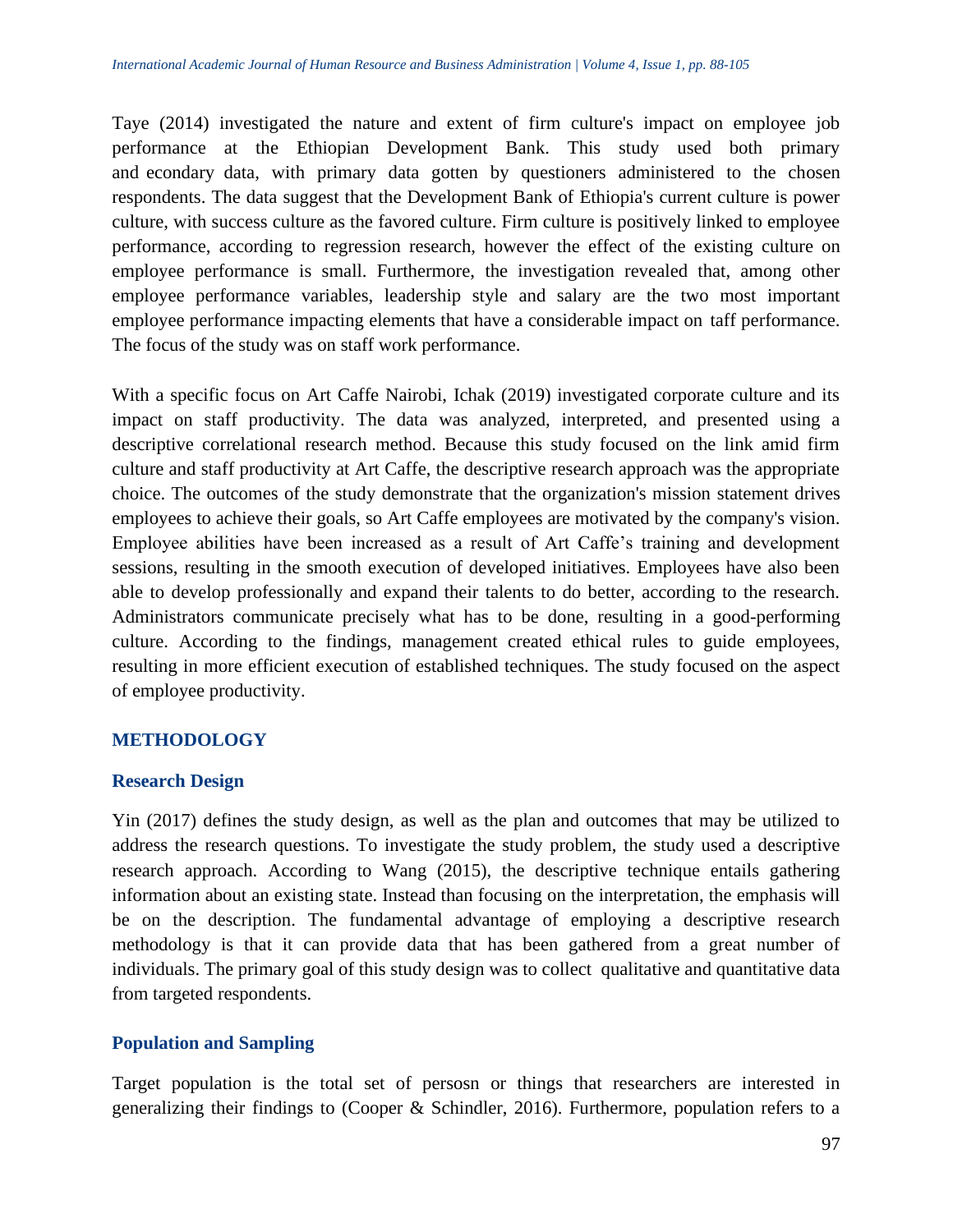Taye (2014) investigated the nature and extent of firm culture's impact on employee job performance at the Ethiopian Development Bank. This study used both primary and econdary data, with primary data gotten by questioners administered to the chosen respondents. The data suggest that the Development Bank of Ethiopia's current culture is power culture, with success culture as the favored culture. Firm culture is positively linked to employee performance, according to regression research, however the effect of the existing culture on employee performance is small. Furthermore, the investigation revealed that, among other employee performance variables, leadership style and salary are the two most important employee performance impacting elements that have a considerable impact on taff performance. The focus of the study was on staff work performance.

With a specific focus on Art Caffe Nairobi, Ichak (2019) investigated corporate culture and its impact on staff productivity. The data was analyzed, interpreted, and presented using a descriptive correlational research method. Because this study focused on the link amid firm culture and staff productivity at Art Caffe, the descriptive research approach was the appropriate choice. The outcomes of the study demonstrate that the organization's mission statement drives employees to achieve their goals, so Art Caffe employees are motivated by the company's vision. Employee abilities have been increased as a result of Art Caffe's training and development sessions, resulting in the smooth execution of developed initiatives. Employees have also been able to develop professionally and expand their talents to do better, according to the research. Administrators communicate precisely what has to be done, resulting in a good-performing culture. According to the findings, management created ethical rules to guide employees, resulting in more efficient execution of established techniques. The study focused on the aspect of employee productivity.

## **METHODOLOGY**

## **Research Design**

Yin (2017) defines the study design, as well as the plan and outcomes that may be utilized to address the research questions. To investigate the study problem, the study used a descriptive research approach. According to Wang (2015), the descriptive technique entails gathering information about an existing state. Instead than focusing on the interpretation, the emphasis will be on the description. The fundamental advantage of employing a descriptive research methodology is that it can provide data that has been gathered from a great number of individuals. The primary goal of this study design was to collect qualitative and quantitative data from targeted respondents.

## **Population and Sampling**

Target population is the total set of persosn or things that researchers are interested in generalizing their findings to (Cooper & Schindler, 2016). Furthermore, population refers to a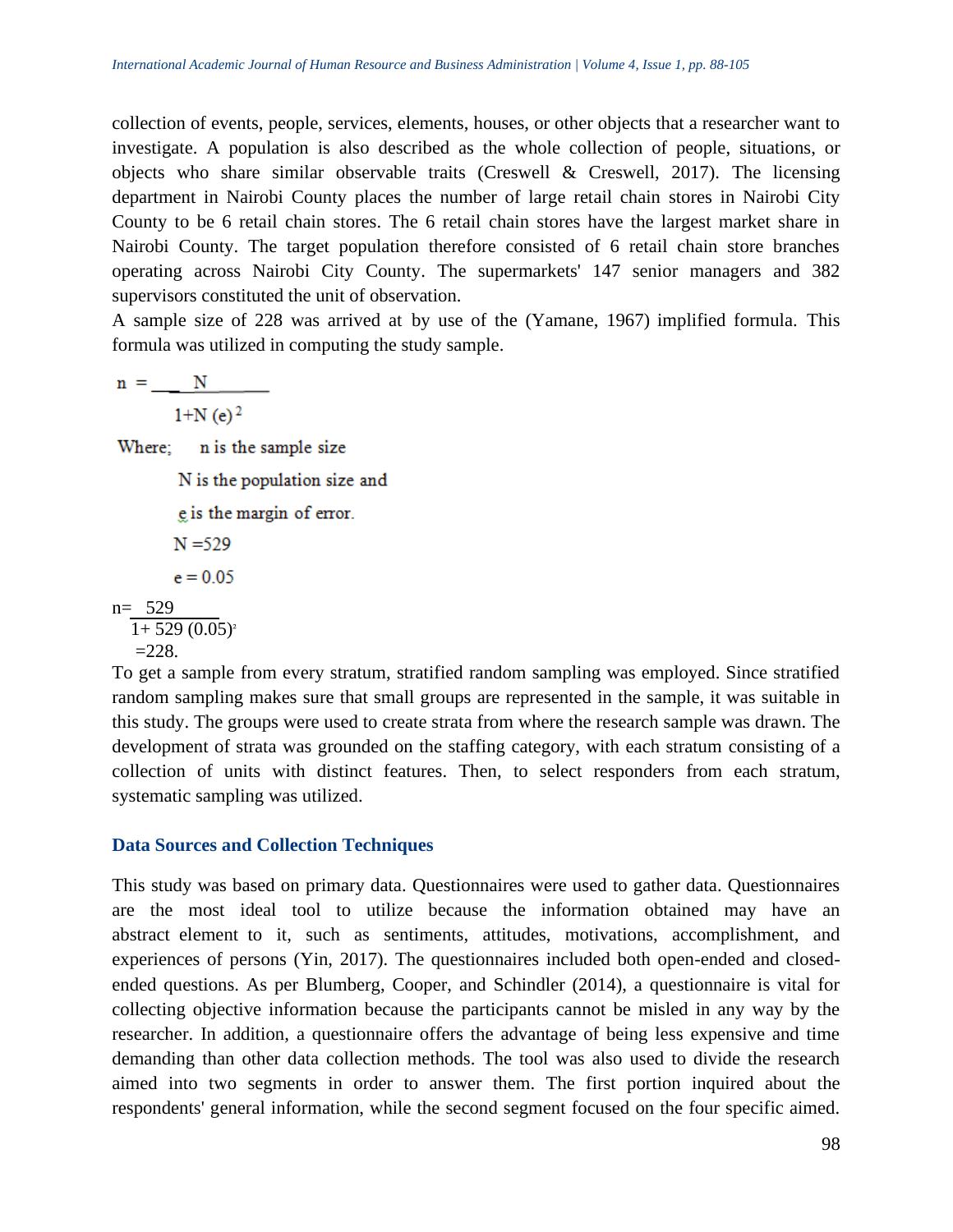collection of events, people, services, elements, houses, or other objects that a researcher want to investigate. A population is also described as the whole collection of people, situations, or objects who share similar observable traits (Creswell  $\&$  Creswell, 2017). The licensing department in Nairobi County places the number of large retail chain stores in Nairobi City County to be 6 retail chain stores. The 6 retail chain stores have the largest market share in Nairobi County. The target population therefore consisted of 6 retail chain store branches operating across Nairobi City County. The supermarkets' 147 senior managers and 382 supervisors constituted the unit of observation.

A sample size of 228 was arrived at by use of the (Yamane, 1967) implified formula. This formula was utilized in computing the study sample.

 $n =$  N  $1+N(e)^2$ Where; n is the sample size N is the population size and e is the margin of error.  $N = 529$ 

 $e = 0.05$ 

```
n= 529
1+529(0.05)^{2}=228.
```
To get a sample from every stratum, stratified random sampling was employed. Since stratified random sampling makes sure that small groups are represented in the sample, it was suitable in this study. The groups were used to create strata from where the research sample was drawn. The development of strata was grounded on the staffing category, with each stratum consisting of a collection of units with distinct features. Then, to select responders from each stratum, systematic sampling was utilized.

## **Data Sources and Collection Techniques**

This study was based on primary data. Questionnaires were used to gather data. Questionnaires are the most ideal tool to utilize because the information obtained may have an abstract element to it, such as sentiments, attitudes, motivations, accomplishment, and experiences of persons (Yin, 2017). The questionnaires included both open-ended and closedended questions. As per Blumberg, Cooper, and Schindler (2014), a questionnaire is vital for collecting objective information because the participants cannot be misled in any way by the researcher. In addition, a questionnaire offers the advantage of being less expensive and time demanding than other data collection methods. The tool was also used to divide the research aimed into two segments in order to answer them. The first portion inquired about the respondents' general information, while the second segment focused on the four specific aimed.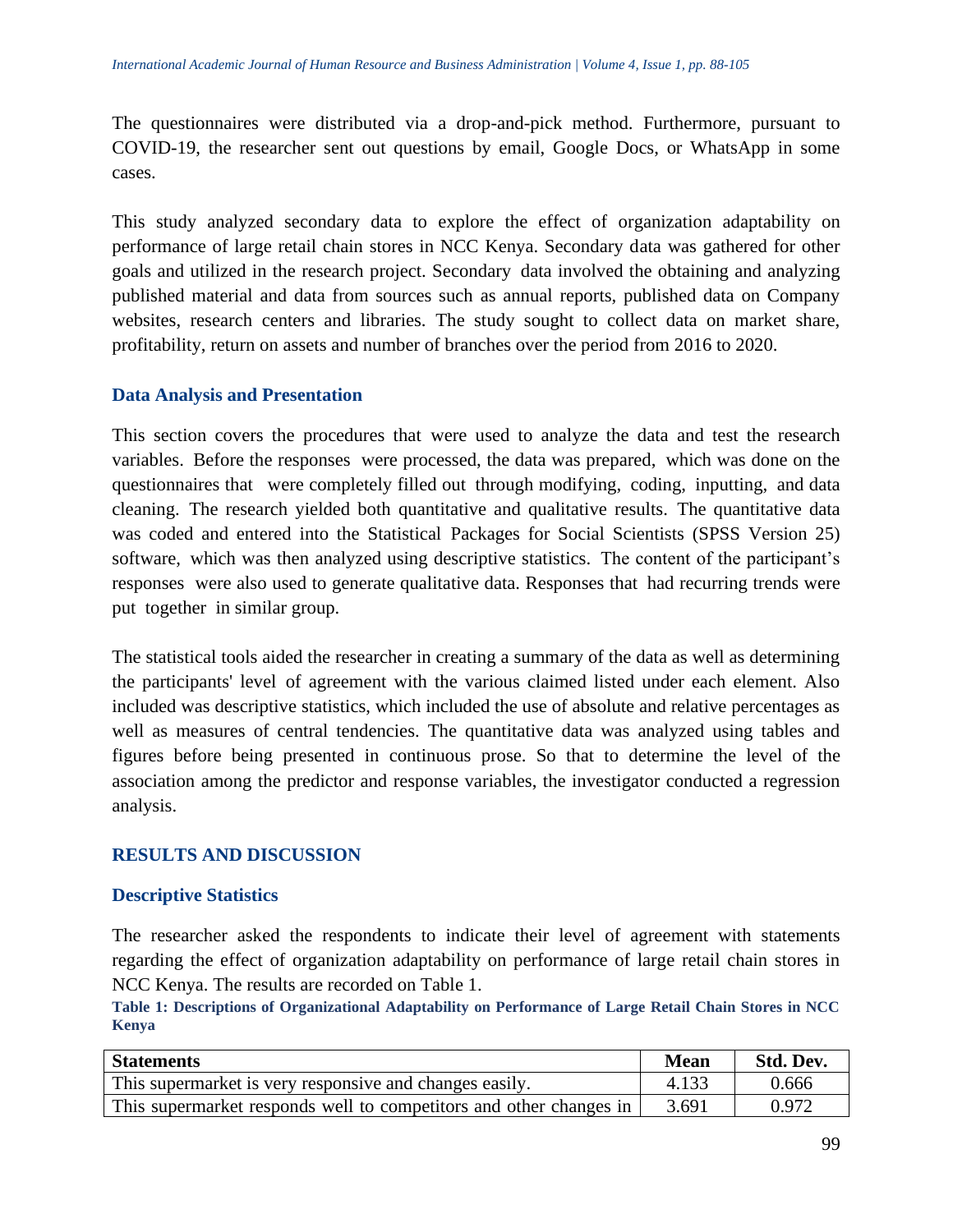The questionnaires were distributed via a drop-and-pick method. Furthermore, pursuant to COVID-19, the researcher sent out questions by email, Google Docs, or WhatsApp in some cases.

This study analyzed secondary data to explore the effect of organization adaptability on performance of large retail chain stores in NCC Kenya. Secondary data was gathered for other goals and utilized in the research project. Secondary data involved the obtaining and analyzing published material and data from sources such as annual reports, published data on Company websites, research centers and libraries. The study sought to collect data on market share, profitability, return on assets and number of branches over the period from 2016 to 2020.

## **Data Analysis and Presentation**

This section covers the procedures that were used to analyze the data and test the research variables. Before the responses were processed, the data was prepared, which was done on the questionnaires that were completely filled out through modifying, coding, inputting, and data cleaning. The research yielded both quantitative and qualitative results. The quantitative data was coded and entered into the Statistical Packages for Social Scientists (SPSS Version 25) software, which was then analyzed using descriptive statistics. The content of the participant's responses were also used to generate qualitative data. Responses that had recurring trends were put together in similar group.

The statistical tools aided the researcher in creating a summary of the data as well as determining the participants' level of agreement with the various claimed listed under each element. Also included was descriptive statistics, which included the use of absolute and relative percentages as well as measures of central tendencies. The quantitative data was analyzed using tables and figures before being presented in continuous prose. So that to determine the level of the association among the predictor and response variables, the investigator conducted a regression analysis.

## **RESULTS AND DISCUSSION**

## **Descriptive Statistics**

The researcher asked the respondents to indicate their level of agreement with statements regarding the effect of organization adaptability on performance of large retail chain stores in NCC Kenya. The results are recorded on Table 1.

**Table 1: Descriptions of Organizational Adaptability on Performance of Large Retail Chain Stores in NCC Kenya**

| <b>Statements</b>                                                  | <b>Mean</b> | Std. Dev. |
|--------------------------------------------------------------------|-------------|-----------|
| This supermarket is very responsive and changes easily.            | 4.133       | 0.666     |
| This supermarket responds well to competitors and other changes in | 3.691       | 0.972     |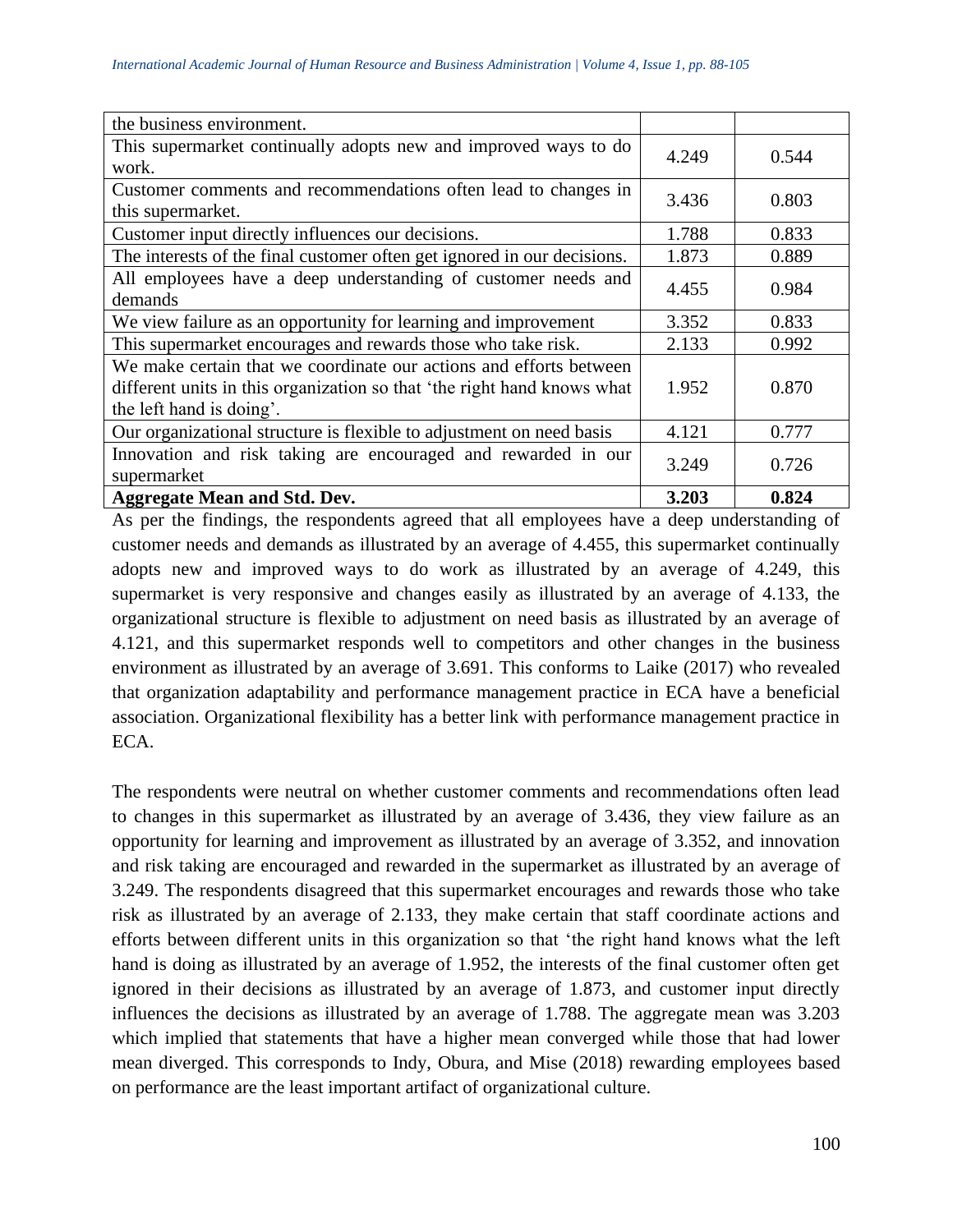| the business environment.                                               |       |       |
|-------------------------------------------------------------------------|-------|-------|
| This supermarket continually adopts new and improved ways to do         | 4.249 | 0.544 |
| work.                                                                   |       |       |
| Customer comments and recommendations often lead to changes in          | 3.436 | 0.803 |
| this supermarket.                                                       |       |       |
| Customer input directly influences our decisions.                       | 1.788 | 0.833 |
| The interests of the final customer often get ignored in our decisions. | 1.873 | 0.889 |
| All employees have a deep understanding of customer needs and           | 4.455 | 0.984 |
| demands                                                                 |       |       |
| We view failure as an opportunity for learning and improvement          | 3.352 | 0.833 |
| This supermarket encourages and rewards those who take risk.            | 2.133 | 0.992 |
| We make certain that we coordinate our actions and efforts between      |       |       |
| different units in this organization so that 'the right hand knows what | 1.952 | 0.870 |
| the left hand is doing'.                                                |       |       |
| Our organizational structure is flexible to adjustment on need basis    | 4.121 | 0.777 |
| Innovation and risk taking are encouraged and rewarded in our           | 3.249 | 0.726 |
| supermarket                                                             |       |       |
| <b>Aggregate Mean and Std. Dev.</b>                                     | 3.203 | 0.824 |

As per the findings, the respondents agreed that all employees have a deep understanding of customer needs and demands as illustrated by an average of 4.455, this supermarket continually adopts new and improved ways to do work as illustrated by an average of 4.249, this supermarket is very responsive and changes easily as illustrated by an average of 4.133, the organizational structure is flexible to adjustment on need basis as illustrated by an average of 4.121, and this supermarket responds well to competitors and other changes in the business environment as illustrated by an average of 3.691. This conforms to Laike (2017) who revealed that organization adaptability and performance management practice in ECA have a beneficial association. Organizational flexibility has a better link with performance management practice in ECA.

The respondents were neutral on whether customer comments and recommendations often lead to changes in this supermarket as illustrated by an average of 3.436, they view failure as an opportunity for learning and improvement as illustrated by an average of 3.352, and innovation and risk taking are encouraged and rewarded in the supermarket as illustrated by an average of 3.249. The respondents disagreed that this supermarket encourages and rewards those who take risk as illustrated by an average of 2.133, they make certain that staff coordinate actions and efforts between different units in this organization so that 'the right hand knows what the left hand is doing as illustrated by an average of 1.952, the interests of the final customer often get ignored in their decisions as illustrated by an average of 1.873, and customer input directly influences the decisions as illustrated by an average of 1.788. The aggregate mean was 3.203 which implied that statements that have a higher mean converged while those that had lower mean diverged. This corresponds to Indy, Obura, and Mise (2018) rewarding employees based on performance are the least important artifact of organizational culture.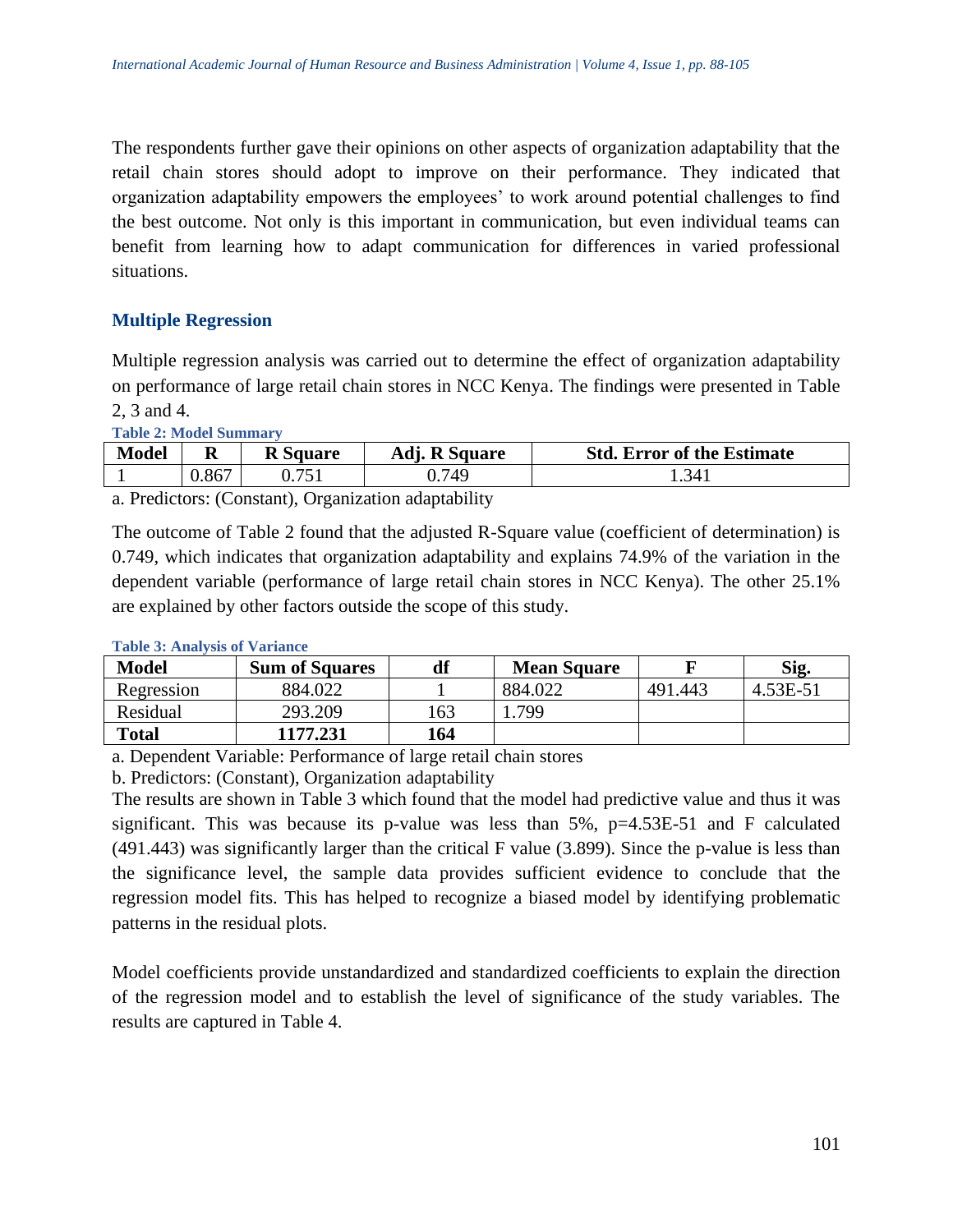The respondents further gave their opinions on other aspects of organization adaptability that the retail chain stores should adopt to improve on their performance. They indicated that organization adaptability empowers the employees' to work around potential challenges to find the best outcome. Not only is this important in communication, but even individual teams can benefit from learning how to adapt communication for differences in varied professional situations.

## **Multiple Regression**

Multiple regression analysis was carried out to determine the effect of organization adaptability on performance of large retail chain stores in NCC Kenya. The findings were presented in Table 2, 3 and 4.

**Table 2: Model Summary**

| <b>Model</b> | N     | <b>R</b> Square | <b>R</b> Square<br>Adı. | <b>Std. Error of the Estimate</b> |
|--------------|-------|-----------------|-------------------------|-----------------------------------|
|              | 0.867 |                 | .749.ر                  | 1.341                             |

a. Predictors: (Constant), Organization adaptability

The outcome of Table 2 found that the adjusted R-Square value (coefficient of determination) is 0.749, which indicates that organization adaptability and explains 74.9% of the variation in the dependent variable (performance of large retail chain stores in NCC Kenya). The other 25.1% are explained by other factors outside the scope of this study.

| <b>Model</b> | df<br><b>Sum of Squares</b> |     | <b>Mean Square</b> |         | Sig.     |  |
|--------------|-----------------------------|-----|--------------------|---------|----------|--|
| Regression   | 884.022                     |     | 884.022            | 491.443 | 4.53E-51 |  |
| Residual     | 293.209                     | 163 | .799               |         |          |  |
| <b>Total</b> | 1177.231                    | 164 |                    |         |          |  |

### **Table 3: Analysis of Variance**

a. Dependent Variable: Performance of large retail chain stores

b. Predictors: (Constant), Organization adaptability

The results are shown in Table 3 which found that the model had predictive value and thus it was significant. This was because its p-value was less than  $5\%$ , p=4.53E-51 and F calculated (491.443) was significantly larger than the critical F value (3.899). Since the p-value is less than the significance level, the sample data provides sufficient evidence to conclude that the regression model fits. This has helped to recognize a biased model by identifying problematic patterns in the residual plots.

Model coefficients provide unstandardized and standardized coefficients to explain the direction of the regression model and to establish the level of significance of the study variables. The results are captured in Table 4.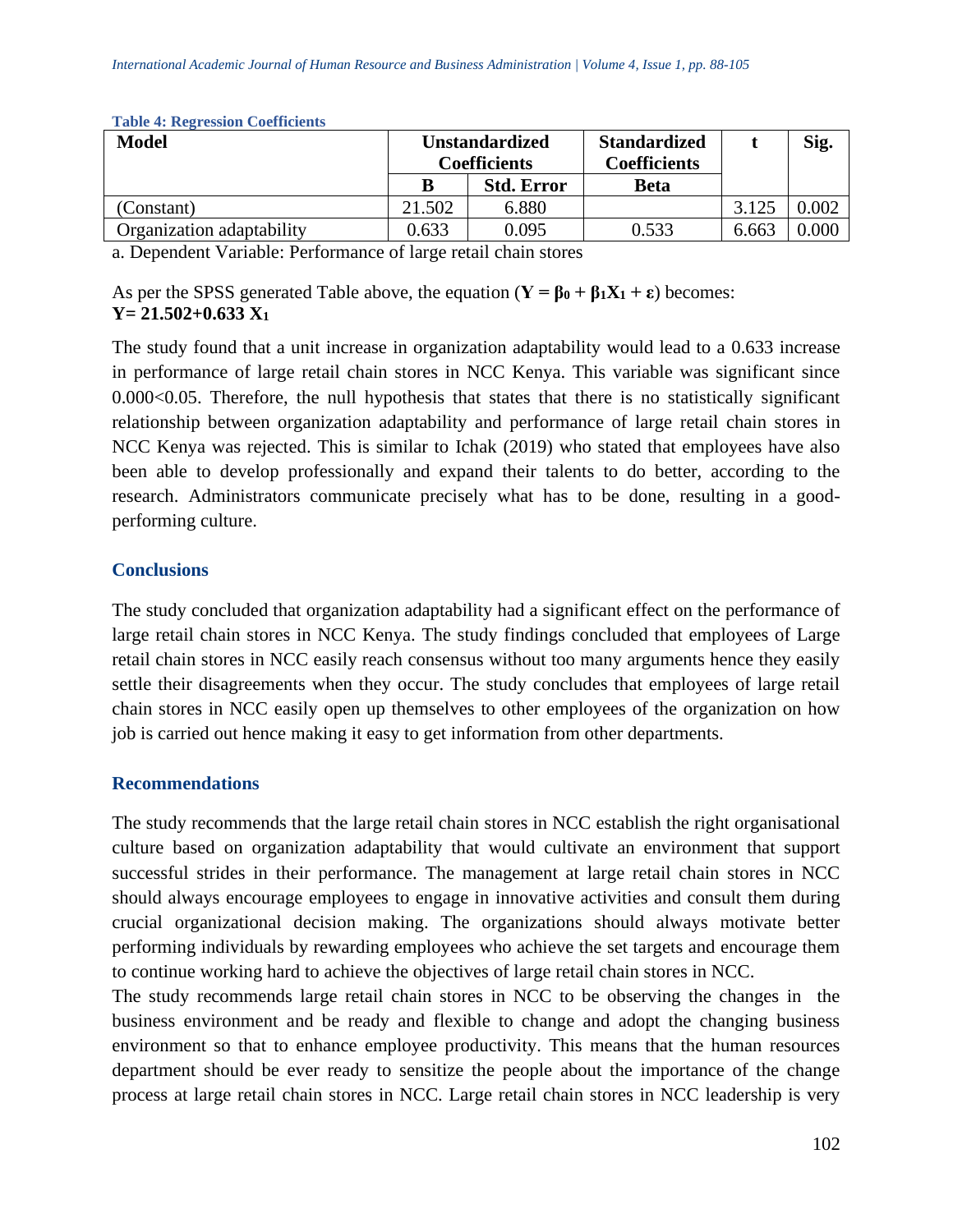| <b>Model</b>              | <b>Unstandardized</b><br><b>Coefficients</b> |                   | <b>Standardized</b><br><b>Coefficients</b> |       | Sig.  |
|---------------------------|----------------------------------------------|-------------------|--------------------------------------------|-------|-------|
|                           | В                                            | <b>Std. Error</b> | <b>Beta</b>                                |       |       |
| (Constant)                | 21.502                                       | 6.880             |                                            | 3.125 | 0.002 |
| Organization adaptability | 0.633                                        | 0.095             | 0.533                                      | 6.663 | 0.000 |

#### **Table 4: Regression Coefficients**

a. Dependent Variable: Performance of large retail chain stores

As per the SPSS generated Table above, the equation  $(Y = \beta_0 + \beta_1 X_1 + \epsilon)$  becomes: **Y= 21.502+0.633 X<sup>1</sup>**

The study found that a unit increase in organization adaptability would lead to a 0.633 increase in performance of large retail chain stores in NCC Kenya. This variable was significant since  $0.000<0.05$ . Therefore, the null hypothesis that states that there is no statistically significant relationship between organization adaptability and performance of large retail chain stores in NCC Kenya was rejected. This is similar to Ichak (2019) who stated that employees have also been able to develop professionally and expand their talents to do better, according to the research. Administrators communicate precisely what has to be done, resulting in a goodperforming culture.

## **Conclusions**

The study concluded that organization adaptability had a significant effect on the performance of large retail chain stores in NCC Kenya. The study findings concluded that employees of Large retail chain stores in NCC easily reach consensus without too many arguments hence they easily settle their disagreements when they occur. The study concludes that employees of large retail chain stores in NCC easily open up themselves to other employees of the organization on how job is carried out hence making it easy to get information from other departments.

## **Recommendations**

The study recommends that the large retail chain stores in NCC establish the right organisational culture based on organization adaptability that would cultivate an environment that support successful strides in their performance. The management at large retail chain stores in NCC should always encourage employees to engage in innovative activities and consult them during crucial organizational decision making. The organizations should always motivate better performing individuals by rewarding employees who achieve the set targets and encourage them to continue working hard to achieve the objectives of large retail chain stores in NCC.

The study recommends large retail chain stores in NCC to be observing the changes in the business environment and be ready and flexible to change and adopt the changing business environment so that to enhance employee productivity. This means that the human resources department should be ever ready to sensitize the people about the importance of the change process at large retail chain stores in NCC. Large retail chain stores in NCC leadership is very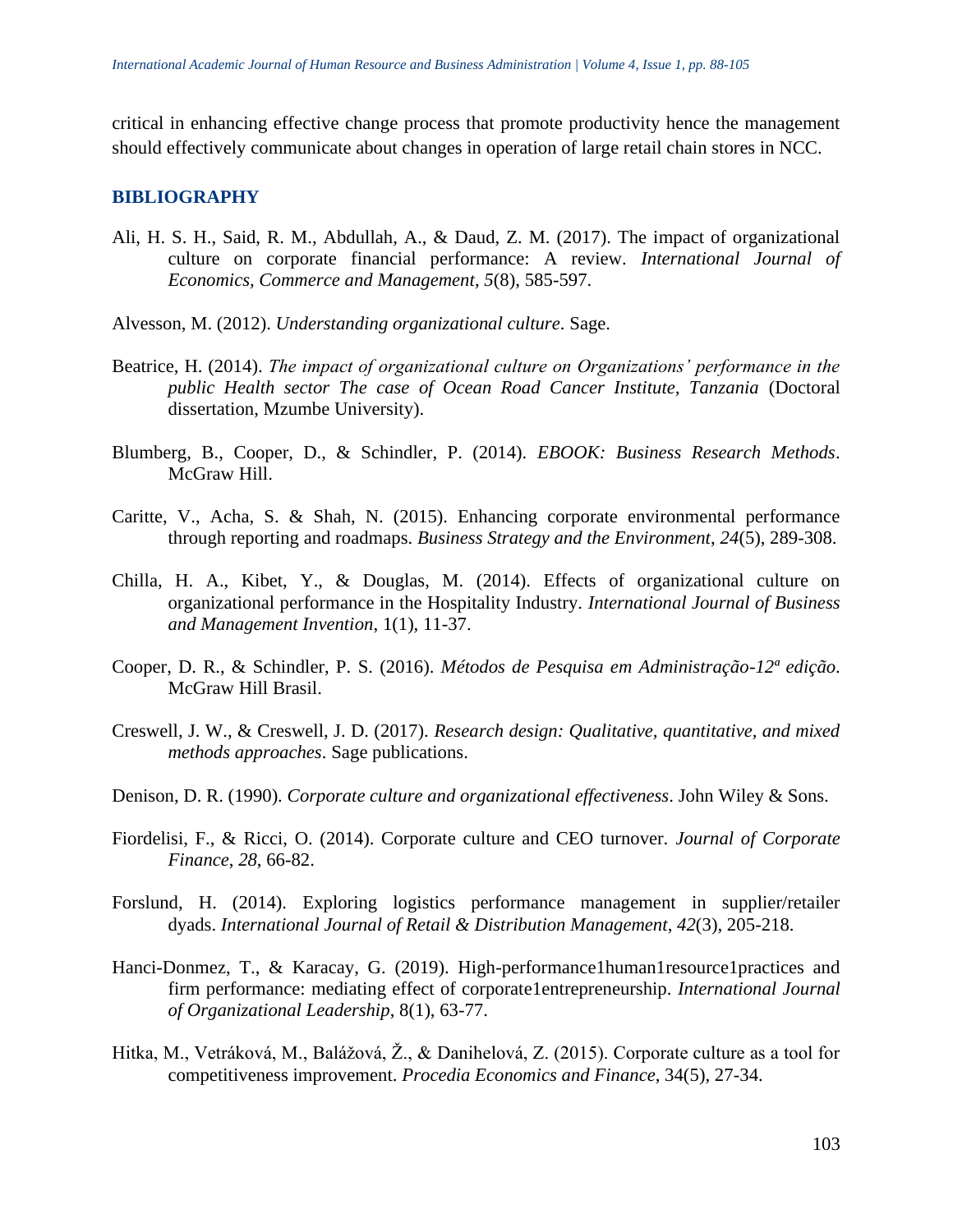critical in enhancing effective change process that promote productivity hence the management should effectively communicate about changes in operation of large retail chain stores in NCC.

## **BIBLIOGRAPHY**

- Ali, H. S. H., Said, R. M., Abdullah, A., & Daud, Z. M. (2017). The impact of organizational culture on corporate financial performance: A review. *International Journal of Economics, Commerce and Management*, *5*(8), 585-597.
- Alvesson, M. (2012). *Understanding organizational culture*. Sage.
- Beatrice, H. (2014). *The impact of organizational culture on Organizations' performance in the public Health sector The case of Ocean Road Cancer Institute, Tanzania* (Doctoral dissertation, Mzumbe University).
- Blumberg, B., Cooper, D., & Schindler, P. (2014). *EBOOK: Business Research Methods*. McGraw Hill.
- Caritte, V., Acha, S. & Shah, N. (2015). Enhancing corporate environmental performance through reporting and roadmaps. *Business Strategy and the Environment*, *24*(5), 289-308.
- Chilla, H. A., Kibet, Y., & Douglas, M. (2014). Effects of organizational culture on organizational performance in the Hospitality Industry. *International Journal of Business and Management Invention*, 1(1), 11-37.
- Cooper, D. R., & Schindler, P. S. (2016). *Métodos de Pesquisa em Administração-12ª edição*. McGraw Hill Brasil.
- Creswell, J. W., & Creswell, J. D. (2017). *Research design: Qualitative, quantitative, and mixed methods approaches*. Sage publications.
- Denison, D. R. (1990). *Corporate culture and organizational effectiveness*. John Wiley & Sons.
- Fiordelisi, F., & Ricci, O. (2014). Corporate culture and CEO turnover. *Journal of Corporate Finance*, *28*, 66-82.
- Forslund, H. (2014). Exploring logistics performance management in supplier/retailer dyads. *International Journal of Retail & Distribution Management*, *42*(3), 205-218.
- Hanci-Donmez, T., & Karacay, G. (2019). High-performance1human1resource1practices and firm performance: mediating effect of corporate1entrepreneurship. *International Journal of Organizational Leadership*, 8(1), 63-77.
- Hitka, M., Vetráková, M., Balážová, Ž., & Danihelová, Z. (2015). Corporate culture as a tool for competitiveness improvement. *Procedia Economics and Finance*, 34(5), 27-34.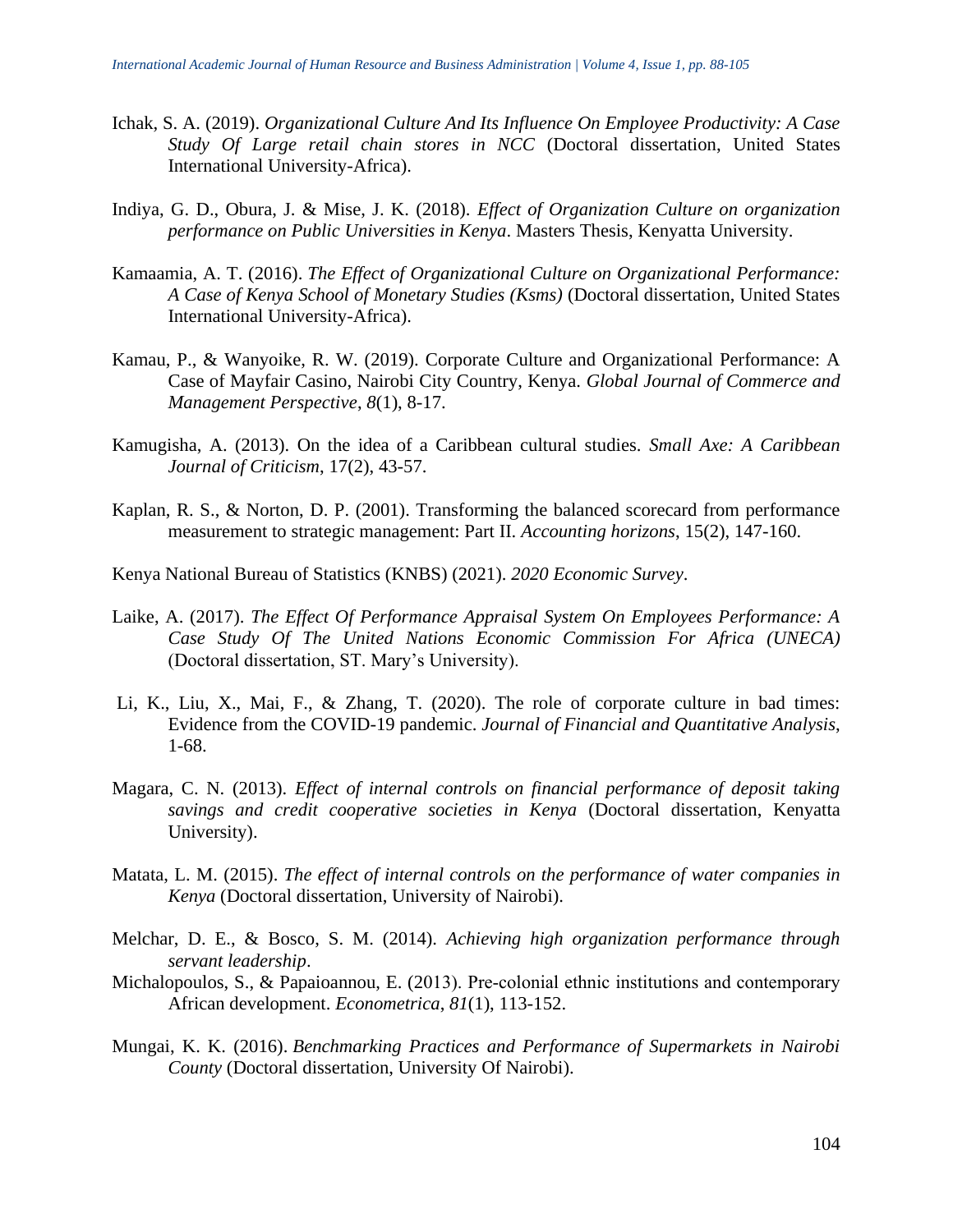- Ichak, S. A. (2019). *Organizational Culture And Its Influence On Employee Productivity: A Case Study Of Large retail chain stores in NCC* (Doctoral dissertation, United States International University-Africa).
- Indiya, G. D., Obura, J. & Mise, J. K. (2018). *Effect of Organization Culture on organization performance on Public Universities in Kenya*. Masters Thesis, Kenyatta University.
- Kamaamia, A. T. (2016). *The Effect of Organizational Culture on Organizational Performance: A Case of Kenya School of Monetary Studies (Ksms)* (Doctoral dissertation, United States International University-Africa).
- Kamau, P., & Wanyoike, R. W. (2019). Corporate Culture and Organizational Performance: A Case of Mayfair Casino, Nairobi City Country, Kenya. *Global Journal of Commerce and Management Perspective*, *8*(1), 8-17.
- Kamugisha, A. (2013). On the idea of a Caribbean cultural studies. *Small Axe: A Caribbean Journal of Criticism*, 17(2), 43-57.
- Kaplan, R. S., & Norton, D. P. (2001). Transforming the balanced scorecard from performance measurement to strategic management: Part II. *Accounting horizons*, 15(2), 147-160.
- Kenya National Bureau of Statistics (KNBS) (2021). *2020 Economic Survey*.
- Laike, A. (2017). *The Effect Of Performance Appraisal System On Employees Performance: A Case Study Of The United Nations Economic Commission For Africa (UNECA)* (Doctoral dissertation, ST. Mary's University).
- Li, K., Liu, X., Mai, F., & Zhang, T. (2020). The role of corporate culture in bad times: Evidence from the COVID-19 pandemic. *Journal of Financial and Quantitative Analysis*, 1-68.
- Magara, C. N. (2013). *Effect of internal controls on financial performance of deposit taking savings and credit cooperative societies in Kenya* (Doctoral dissertation, Kenyatta University).
- Matata, L. M. (2015). *The effect of internal controls on the performance of water companies in Kenya* (Doctoral dissertation, University of Nairobi).
- Melchar, D. E., & Bosco, S. M. (2014). *Achieving high organization performance through servant leadership*.
- Michalopoulos, S., & Papaioannou, E. (2013). Pre-colonial ethnic institutions and contemporary African development. *Econometrica*, *81*(1), 113-152.
- Mungai, K. K. (2016). *Benchmarking Practices and Performance of Supermarkets in Nairobi County* (Doctoral dissertation, University Of Nairobi).